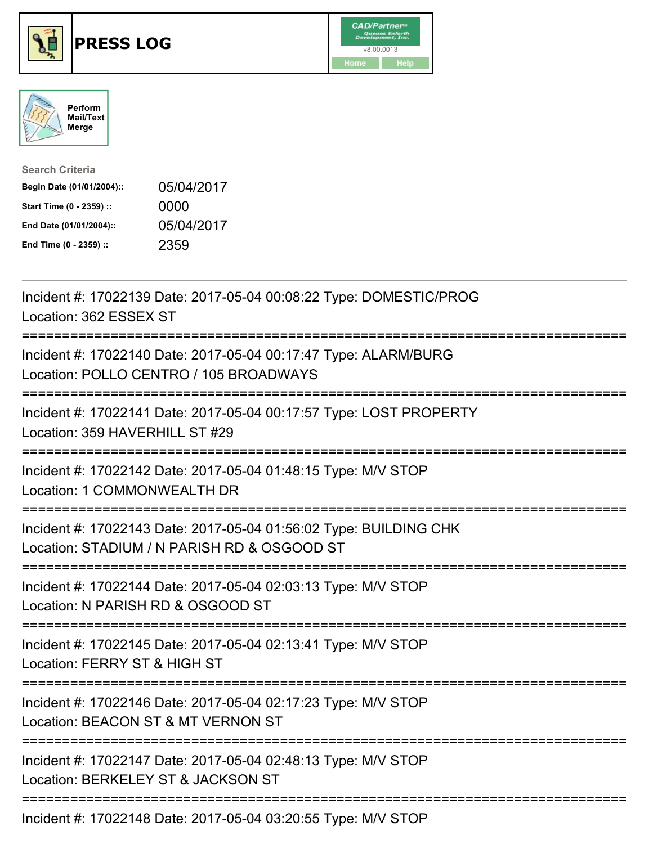





| <b>Search Criteria</b>    |            |
|---------------------------|------------|
| Begin Date (01/01/2004):: | 05/04/2017 |
| Start Time (0 - 2359) ::  | 0000       |
| End Date (01/01/2004)::   | 05/04/2017 |
| End Time (0 - 2359) ::    | 2359       |

| Incident #: 17022139 Date: 2017-05-04 00:08:22 Type: DOMESTIC/PROG<br>Location: 362 ESSEX ST                                              |
|-------------------------------------------------------------------------------------------------------------------------------------------|
| Incident #: 17022140 Date: 2017-05-04 00:17:47 Type: ALARM/BURG<br>Location: POLLO CENTRO / 105 BROADWAYS                                 |
| Incident #: 17022141 Date: 2017-05-04 00:17:57 Type: LOST PROPERTY<br>Location: 359 HAVERHILL ST #29                                      |
| Incident #: 17022142 Date: 2017-05-04 01:48:15 Type: M/V STOP<br>Location: 1 COMMONWEALTH DR                                              |
| Incident #: 17022143 Date: 2017-05-04 01:56:02 Type: BUILDING CHK<br>Location: STADIUM / N PARISH RD & OSGOOD ST<br>===================== |
| Incident #: 17022144 Date: 2017-05-04 02:03:13 Type: M/V STOP<br>Location: N PARISH RD & OSGOOD ST<br>=====================               |
| Incident #: 17022145 Date: 2017-05-04 02:13:41 Type: M/V STOP<br>Location: FERRY ST & HIGH ST                                             |
| Incident #: 17022146 Date: 2017-05-04 02:17:23 Type: M/V STOP<br>Location: BEACON ST & MT VERNON ST<br>=========================          |
| Incident #: 17022147 Date: 2017-05-04 02:48:13 Type: M/V STOP<br>Location: BERKELEY ST & JACKSON ST                                       |
| Incident #: 17022148 Date: 2017-05-04 03:20:55 Type: M/V STOP                                                                             |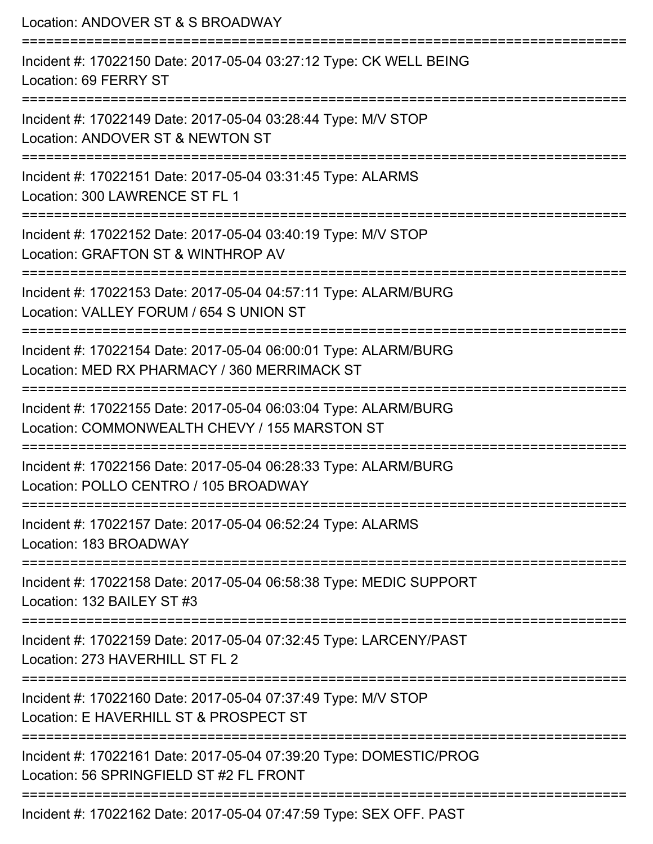Location: ANDOVER ST & S BROADWAY =========================================================================== Incident #: 17022150 Date: 2017-05-04 03:27:12 Type: CK WELL BEING Location: 69 FERRY ST =========================================================================== Incident #: 17022149 Date: 2017-05-04 03:28:44 Type: M/V STOP Location: ANDOVER ST & NEWTON ST =========================================================================== Incident #: 17022151 Date: 2017-05-04 03:31:45 Type: ALARMS Location: 300 LAWRENCE ST FL 1 =========================================================================== Incident #: 17022152 Date: 2017-05-04 03:40:19 Type: M/V STOP Location: GRAFTON ST & WINTHROP AV =========================================================================== Incident #: 17022153 Date: 2017-05-04 04:57:11 Type: ALARM/BURG Location: VALLEY FORUM / 654 S UNION ST =========================================================================== Incident #: 17022154 Date: 2017-05-04 06:00:01 Type: ALARM/BURG Location: MED RX PHARMACY / 360 MERRIMACK ST =========================================================================== Incident #: 17022155 Date: 2017-05-04 06:03:04 Type: ALARM/BURG Location: COMMONWEALTH CHEVY / 155 MARSTON ST =========================================================================== Incident #: 17022156 Date: 2017-05-04 06:28:33 Type: ALARM/BURG Location: POLLO CENTRO / 105 BROADWAY =========================================================================== Incident #: 17022157 Date: 2017-05-04 06:52:24 Type: ALARMS Location: 183 BROADWAY =========================================================================== Incident #: 17022158 Date: 2017-05-04 06:58:38 Type: MEDIC SUPPORT Location: 132 BAILEY ST #3 =========================================================================== Incident #: 17022159 Date: 2017-05-04 07:32:45 Type: LARCENY/PAST Location: 273 HAVERHILL ST FL 2 =========================================================================== Incident #: 17022160 Date: 2017-05-04 07:37:49 Type: M/V STOP Location: E HAVERHILL ST & PROSPECT ST =========================================================================== Incident #: 17022161 Date: 2017-05-04 07:39:20 Type: DOMESTIC/PROG Location: 56 SPRINGFIFLD ST #2 FL FRONT =========================================================================== Incident #: 17022162 Date: 2017-05-04 07:47:59 Type: SEX OFF. PAST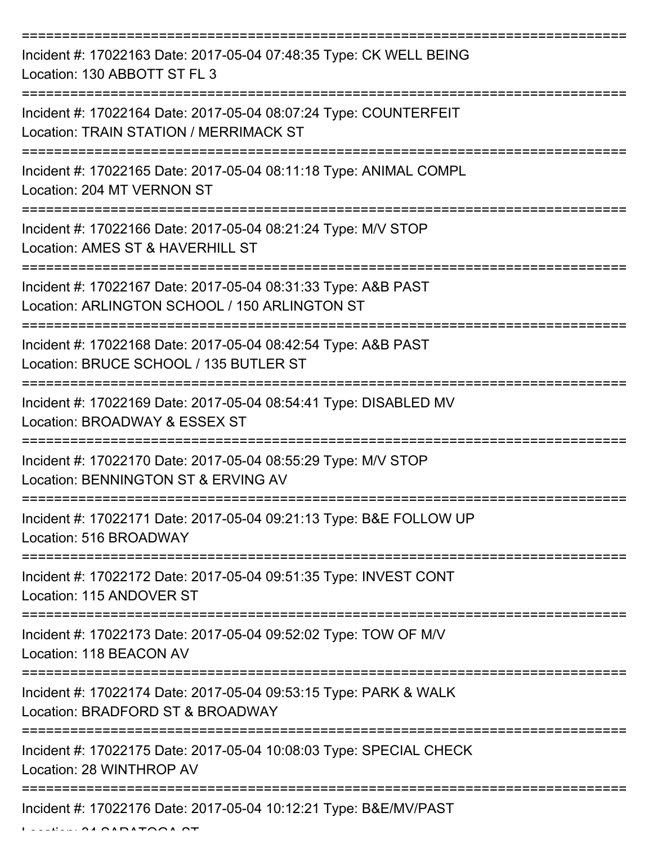| Incident #: 17022163 Date: 2017-05-04 07:48:35 Type: CK WELL BEING<br>Location: 130 ABBOTT ST FL 3                                               |
|--------------------------------------------------------------------------------------------------------------------------------------------------|
| Incident #: 17022164 Date: 2017-05-04 08:07:24 Type: COUNTERFEIT<br>Location: TRAIN STATION / MERRIMACK ST                                       |
| Incident #: 17022165 Date: 2017-05-04 08:11:18 Type: ANIMAL COMPL<br>Location: 204 MT VERNON ST                                                  |
| Incident #: 17022166 Date: 2017-05-04 08:21:24 Type: M/V STOP<br>Location: AMES ST & HAVERHILL ST                                                |
| Incident #: 17022167 Date: 2017-05-04 08:31:33 Type: A&B PAST<br>Location: ARLINGTON SCHOOL / 150 ARLINGTON ST<br>============================== |
| ====================<br>Incident #: 17022168 Date: 2017-05-04 08:42:54 Type: A&B PAST<br>Location: BRUCE SCHOOL / 135 BUTLER ST                  |
| Incident #: 17022169 Date: 2017-05-04 08:54:41 Type: DISABLED MV<br>Location: BROADWAY & ESSEX ST<br>===========                                 |
| Incident #: 17022170 Date: 2017-05-04 08:55:29 Type: M/V STOP<br>Location: BENNINGTON ST & ERVING AV                                             |
| Incident #: 17022171 Date: 2017-05-04 09:21:13 Type: B&E FOLLOW UP<br>Location: 516 BROADWAY                                                     |
| =================<br>Incident #: 17022172 Date: 2017-05-04 09:51:35 Type: INVEST CONT<br>Location: 115 ANDOVER ST                                |
| Incident #: 17022173 Date: 2017-05-04 09:52:02 Type: TOW OF M/V<br>Location: 118 BEACON AV                                                       |
| Incident #: 17022174 Date: 2017-05-04 09:53:15 Type: PARK & WALK<br>Location: BRADFORD ST & BROADWAY                                             |
| Incident #: 17022175 Date: 2017-05-04 10:08:03 Type: SPECIAL CHECK<br>Location: 28 WINTHROP AV                                                   |
| Incident #: 17022176 Date: 2017-05-04 10:12:21 Type: B&E/MV/PAST                                                                                 |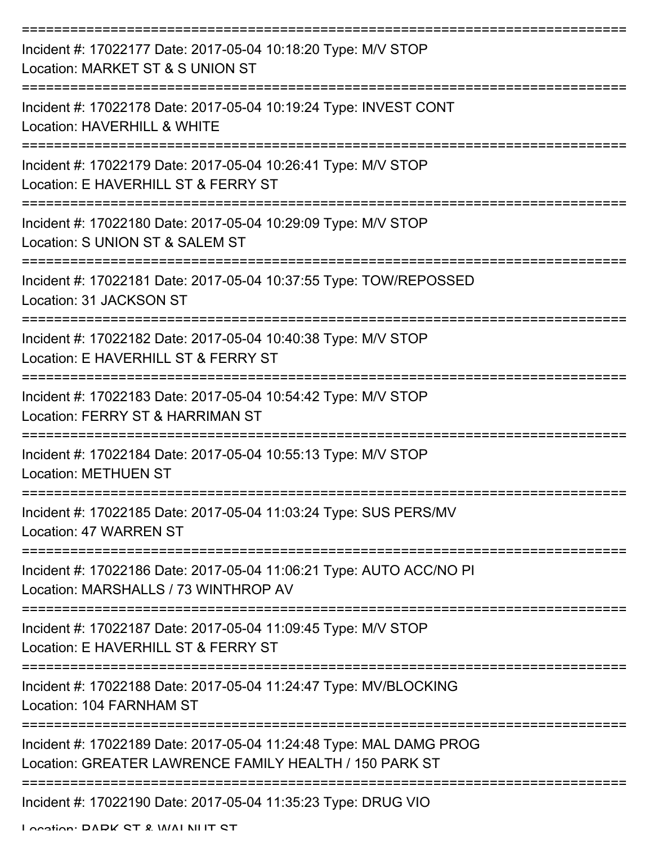| Incident #: 17022177 Date: 2017-05-04 10:18:20 Type: M/V STOP<br>Location: MARKET ST & S UNION ST                            |
|------------------------------------------------------------------------------------------------------------------------------|
| Incident #: 17022178 Date: 2017-05-04 10:19:24 Type: INVEST CONT<br>Location: HAVERHILL & WHITE                              |
| Incident #: 17022179 Date: 2017-05-04 10:26:41 Type: M/V STOP<br>Location: E HAVERHILL ST & FERRY ST                         |
| Incident #: 17022180 Date: 2017-05-04 10:29:09 Type: M/V STOP<br>Location: S UNION ST & SALEM ST                             |
| Incident #: 17022181 Date: 2017-05-04 10:37:55 Type: TOW/REPOSSED<br>Location: 31 JACKSON ST                                 |
| Incident #: 17022182 Date: 2017-05-04 10:40:38 Type: M/V STOP<br>Location: E HAVERHILL ST & FERRY ST                         |
| Incident #: 17022183 Date: 2017-05-04 10:54:42 Type: M/V STOP<br>Location: FERRY ST & HARRIMAN ST                            |
| Incident #: 17022184 Date: 2017-05-04 10:55:13 Type: M/V STOP<br><b>Location: METHUEN ST</b>                                 |
| Incident #: 17022185 Date: 2017-05-04 11:03:24 Type: SUS PERS/MV<br>Location: 47 WARREN ST                                   |
| Incident #: 17022186 Date: 2017-05-04 11:06:21 Type: AUTO ACC/NO PI<br>Location: MARSHALLS / 73 WINTHROP AV                  |
| Incident #: 17022187 Date: 2017-05-04 11:09:45 Type: M/V STOP<br>Location: E HAVERHILL ST & FERRY ST                         |
| Incident #: 17022188 Date: 2017-05-04 11:24:47 Type: MV/BLOCKING<br>Location: 104 FARNHAM ST                                 |
| Incident #: 17022189 Date: 2017-05-04 11:24:48 Type: MAL DAMG PROG<br>Location: GREATER LAWRENCE FAMILY HEALTH / 150 PARK ST |
| Incident #: 17022190 Date: 2017-05-04 11:35:23 Type: DRUG VIO                                                                |

Location: DADK CT & WALNUT CT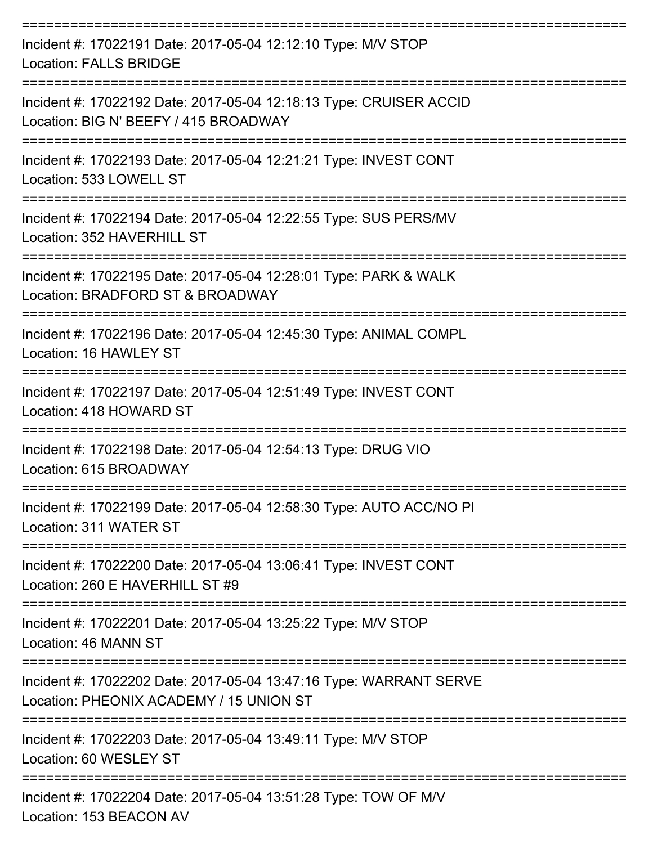| Incident #: 17022191 Date: 2017-05-04 12:12:10 Type: M/V STOP<br><b>Location: FALLS BRIDGE</b>                 |
|----------------------------------------------------------------------------------------------------------------|
| Incident #: 17022192 Date: 2017-05-04 12:18:13 Type: CRUISER ACCID<br>Location: BIG N' BEEFY / 415 BROADWAY    |
| Incident #: 17022193 Date: 2017-05-04 12:21:21 Type: INVEST CONT<br>Location: 533 LOWELL ST                    |
| Incident #: 17022194 Date: 2017-05-04 12:22:55 Type: SUS PERS/MV<br>Location: 352 HAVERHILL ST                 |
| Incident #: 17022195 Date: 2017-05-04 12:28:01 Type: PARK & WALK<br>Location: BRADFORD ST & BROADWAY           |
| Incident #: 17022196 Date: 2017-05-04 12:45:30 Type: ANIMAL COMPL<br>Location: 16 HAWLEY ST                    |
| Incident #: 17022197 Date: 2017-05-04 12:51:49 Type: INVEST CONT<br>Location: 418 HOWARD ST                    |
| Incident #: 17022198 Date: 2017-05-04 12:54:13 Type: DRUG VIO<br>Location: 615 BROADWAY                        |
| Incident #: 17022199 Date: 2017-05-04 12:58:30 Type: AUTO ACC/NO PI<br>Location: 311 WATER ST                  |
| Incident #: 17022200 Date: 2017-05-04 13:06:41 Type: INVEST CONT<br>Location: 260 E HAVERHILL ST #9            |
| Incident #: 17022201 Date: 2017-05-04 13:25:22 Type: M/V STOP<br>Location: 46 MANN ST                          |
| Incident #: 17022202 Date: 2017-05-04 13:47:16 Type: WARRANT SERVE<br>Location: PHEONIX ACADEMY / 15 UNION ST  |
| Incident #: 17022203 Date: 2017-05-04 13:49:11 Type: M/V STOP<br>Location: 60 WESLEY ST                        |
| Incident #: 17022204 Date: 2017-05-04 13:51:28 Type: TOW OF M/V<br>$L_{\alpha}$ and $L_{\alpha}$ 153 REACON AV |

Location: 153 BEACON AV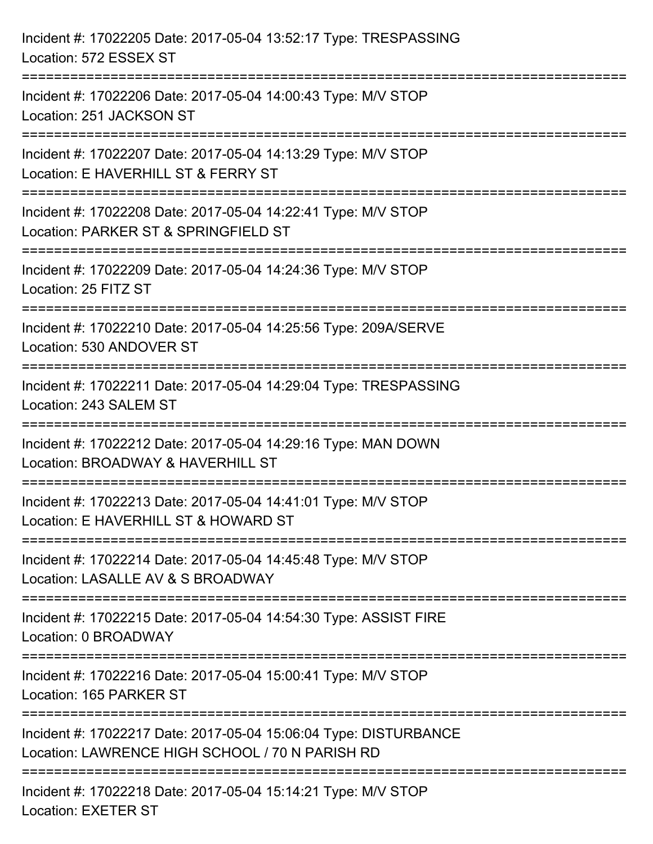| Incident #: 17022205 Date: 2017-05-04 13:52:17 Type: TRESPASSING<br>Location: 572 ESSEX ST                                 |
|----------------------------------------------------------------------------------------------------------------------------|
| ===================<br>Incident #: 17022206 Date: 2017-05-04 14:00:43 Type: M/V STOP<br>Location: 251 JACKSON ST           |
| Incident #: 17022207 Date: 2017-05-04 14:13:29 Type: M/V STOP<br>Location: E HAVERHILL ST & FERRY ST<br>================== |
| Incident #: 17022208 Date: 2017-05-04 14:22:41 Type: M/V STOP<br>Location: PARKER ST & SPRINGFIELD ST                      |
| Incident #: 17022209 Date: 2017-05-04 14:24:36 Type: M/V STOP<br>Location: 25 FITZ ST<br>===========================       |
| Incident #: 17022210 Date: 2017-05-04 14:25:56 Type: 209A/SERVE<br>Location: 530 ANDOVER ST                                |
| Incident #: 17022211 Date: 2017-05-04 14:29:04 Type: TRESPASSING<br>Location: 243 SALEM ST                                 |
| Incident #: 17022212 Date: 2017-05-04 14:29:16 Type: MAN DOWN<br>Location: BROADWAY & HAVERHILL ST                         |
| Incident #: 17022213 Date: 2017-05-04 14:41:01 Type: M/V STOP<br>Location: E HAVERHILL ST & HOWARD ST                      |
| Incident #: 17022214 Date: 2017-05-04 14:45:48 Type: M/V STOP<br>Location: LASALLE AV & S BROADWAY                         |
| Incident #: 17022215 Date: 2017-05-04 14:54:30 Type: ASSIST FIRE<br>Location: 0 BROADWAY                                   |
| Incident #: 17022216 Date: 2017-05-04 15:00:41 Type: M/V STOP<br>Location: 165 PARKER ST                                   |
| Incident #: 17022217 Date: 2017-05-04 15:06:04 Type: DISTURBANCE<br>Location: LAWRENCE HIGH SCHOOL / 70 N PARISH RD        |
| Incident #: 17022218 Date: 2017-05-04 15:14:21 Type: M/V STOP<br><b>Location: EXETER ST</b>                                |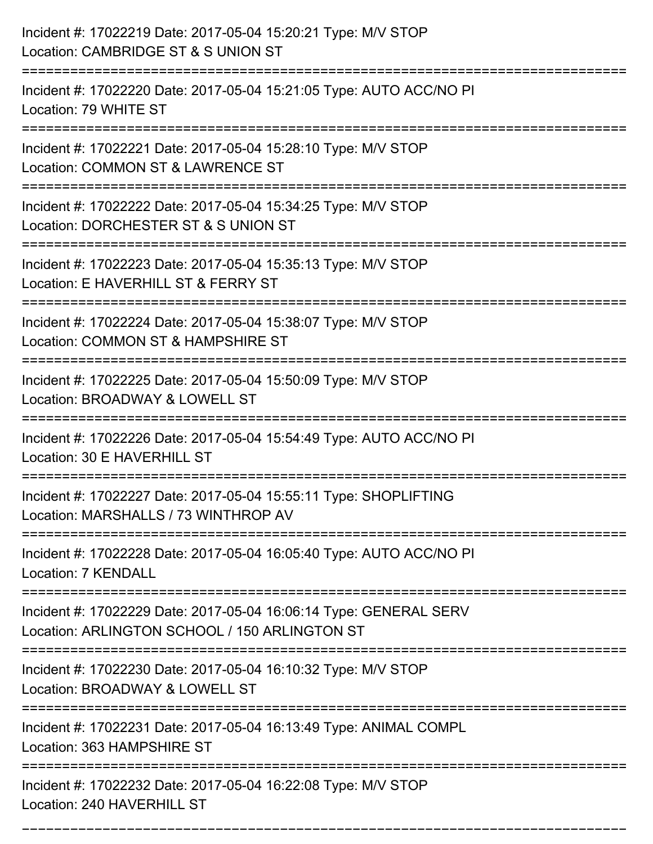| Incident #: 17022219 Date: 2017-05-04 15:20:21 Type: M/V STOP<br>Location: CAMBRIDGE ST & S UNION ST                            |
|---------------------------------------------------------------------------------------------------------------------------------|
| Incident #: 17022220 Date: 2017-05-04 15:21:05 Type: AUTO ACC/NO PI<br>Location: 79 WHITE ST                                    |
| Incident #: 17022221 Date: 2017-05-04 15:28:10 Type: M/V STOP<br>Location: COMMON ST & LAWRENCE ST<br>======================    |
| Incident #: 17022222 Date: 2017-05-04 15:34:25 Type: M/V STOP<br>Location: DORCHESTER ST & S UNION ST                           |
| Incident #: 17022223 Date: 2017-05-04 15:35:13 Type: M/V STOP<br>Location: E HAVERHILL ST & FERRY ST                            |
| Incident #: 17022224 Date: 2017-05-04 15:38:07 Type: M/V STOP<br>Location: COMMON ST & HAMPSHIRE ST<br>======================== |
| Incident #: 17022225 Date: 2017-05-04 15:50:09 Type: M/V STOP<br>Location: BROADWAY & LOWELL ST                                 |
| Incident #: 17022226 Date: 2017-05-04 15:54:49 Type: AUTO ACC/NO PI<br>Location: 30 E HAVERHILL ST                              |
| Incident #: 17022227 Date: 2017-05-04 15:55:11 Type: SHOPLIFTING<br>Location: MARSHALLS / 73 WINTHROP AV                        |
| Incident #: 17022228 Date: 2017-05-04 16:05:40 Type: AUTO ACC/NO PI<br>Location: 7 KENDALL                                      |
| Incident #: 17022229 Date: 2017-05-04 16:06:14 Type: GENERAL SERV<br>Location: ARLINGTON SCHOOL / 150 ARLINGTON ST              |
| Incident #: 17022230 Date: 2017-05-04 16:10:32 Type: M/V STOP<br>Location: BROADWAY & LOWELL ST                                 |
| Incident #: 17022231 Date: 2017-05-04 16:13:49 Type: ANIMAL COMPL<br>Location: 363 HAMPSHIRE ST                                 |
| Incident #: 17022232 Date: 2017-05-04 16:22:08 Type: M/V STOP<br>Location: 240 HAVERHILL ST                                     |

===========================================================================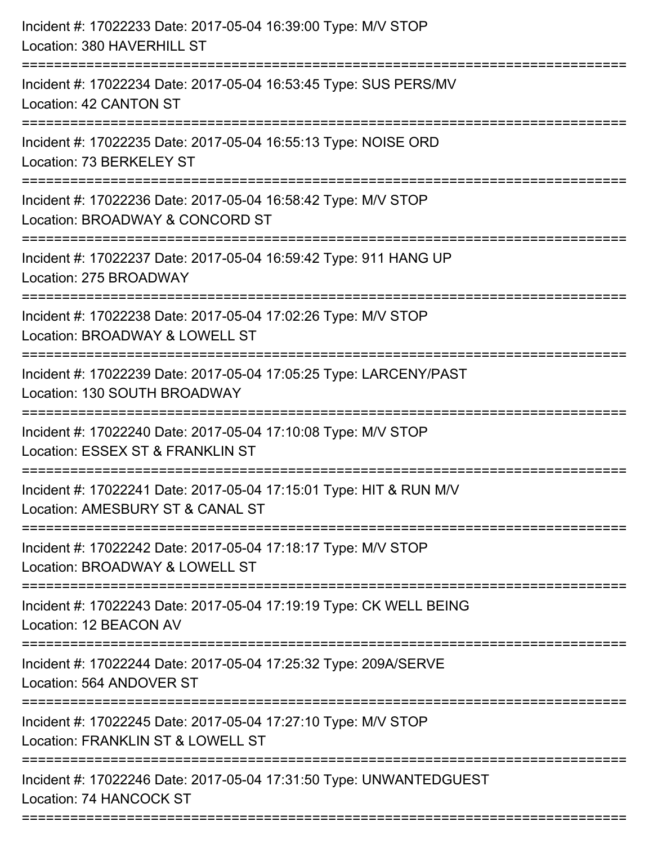| Incident #: 17022233 Date: 2017-05-04 16:39:00 Type: M/V STOP<br>Location: 380 HAVERHILL ST                                   |
|-------------------------------------------------------------------------------------------------------------------------------|
| ======================<br>Incident #: 17022234 Date: 2017-05-04 16:53:45 Type: SUS PERS/MV<br>Location: 42 CANTON ST          |
| Incident #: 17022235 Date: 2017-05-04 16:55:13 Type: NOISE ORD<br>Location: 73 BERKELEY ST<br>;=============================  |
| Incident #: 17022236 Date: 2017-05-04 16:58:42 Type: M/V STOP<br>Location: BROADWAY & CONCORD ST<br>------------------------- |
| Incident #: 17022237 Date: 2017-05-04 16:59:42 Type: 911 HANG UP<br>Location: 275 BROADWAY                                    |
| Incident #: 17022238 Date: 2017-05-04 17:02:26 Type: M/V STOP<br>Location: BROADWAY & LOWELL ST                               |
| Incident #: 17022239 Date: 2017-05-04 17:05:25 Type: LARCENY/PAST<br>Location: 130 SOUTH BROADWAY                             |
| Incident #: 17022240 Date: 2017-05-04 17:10:08 Type: M/V STOP<br>Location: ESSEX ST & FRANKLIN ST                             |
| Incident #: 17022241 Date: 2017-05-04 17:15:01 Type: HIT & RUN M/V<br>Location: AMESBURY ST & CANAL ST                        |
| Incident #: 17022242 Date: 2017-05-04 17:18:17 Type: M/V STOP<br>Location: BROADWAY & LOWELL ST                               |
| Incident #: 17022243 Date: 2017-05-04 17:19:19 Type: CK WELL BEING<br>Location: 12 BEACON AV                                  |
| Incident #: 17022244 Date: 2017-05-04 17:25:32 Type: 209A/SERVE<br>Location: 564 ANDOVER ST                                   |
| Incident #: 17022245 Date: 2017-05-04 17:27:10 Type: M/V STOP<br>Location: FRANKLIN ST & LOWELL ST                            |
| Incident #: 17022246 Date: 2017-05-04 17:31:50 Type: UNWANTEDGUEST<br>Location: 74 HANCOCK ST                                 |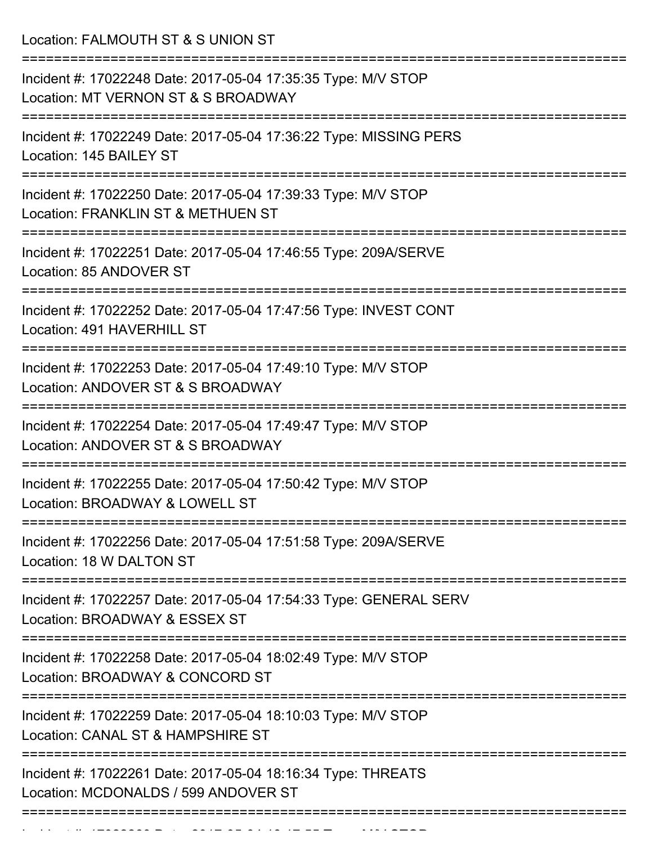Location: FALMOUTH ST & S UNION ST

| Incident #: 17022248 Date: 2017-05-04 17:35:35 Type: M/V STOP<br>Location: MT VERNON ST & S BROADWAY |
|------------------------------------------------------------------------------------------------------|
| Incident #: 17022249 Date: 2017-05-04 17:36:22 Type: MISSING PERS<br>Location: 145 BAILEY ST         |
| Incident #: 17022250 Date: 2017-05-04 17:39:33 Type: M/V STOP<br>Location: FRANKLIN ST & METHUEN ST  |
| Incident #: 17022251 Date: 2017-05-04 17:46:55 Type: 209A/SERVE<br>Location: 85 ANDOVER ST           |
| Incident #: 17022252 Date: 2017-05-04 17:47:56 Type: INVEST CONT<br>Location: 491 HAVERHILL ST       |
| Incident #: 17022253 Date: 2017-05-04 17:49:10 Type: M/V STOP<br>Location: ANDOVER ST & S BROADWAY   |
| Incident #: 17022254 Date: 2017-05-04 17:49:47 Type: M/V STOP<br>Location: ANDOVER ST & S BROADWAY   |
| Incident #: 17022255 Date: 2017-05-04 17:50:42 Type: M/V STOP<br>Location: BROADWAY & LOWELL ST      |
| Incident #: 17022256 Date: 2017-05-04 17:51:58 Type: 209A/SERVE<br>Location: 18 W DALTON ST          |
| Incident #: 17022257 Date: 2017-05-04 17:54:33 Type: GENERAL SERV<br>Location: BROADWAY & ESSEX ST   |
| Incident #: 17022258 Date: 2017-05-04 18:02:49 Type: M/V STOP<br>Location: BROADWAY & CONCORD ST     |
| Incident #: 17022259 Date: 2017-05-04 18:10:03 Type: M/V STOP<br>Location: CANAL ST & HAMPSHIRE ST   |
| Incident #: 17022261 Date: 2017-05-04 18:16:34 Type: THREATS<br>Location: MCDONALDS / 599 ANDOVER ST |
|                                                                                                      |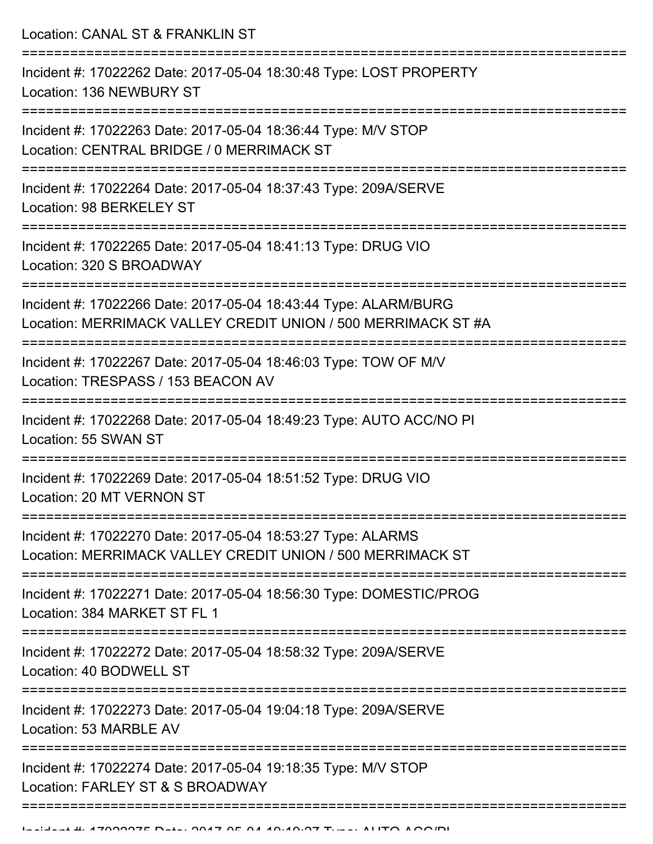Location: CANAL ST & FRANKLIN ST

| Incident #: 17022262 Date: 2017-05-04 18:30:48 Type: LOST PROPERTY<br>Location: 136 NEWBURY ST                                   |
|----------------------------------------------------------------------------------------------------------------------------------|
| Incident #: 17022263 Date: 2017-05-04 18:36:44 Type: M/V STOP<br>Location: CENTRAL BRIDGE / 0 MERRIMACK ST                       |
| Incident #: 17022264 Date: 2017-05-04 18:37:43 Type: 209A/SERVE<br>Location: 98 BERKELEY ST                                      |
| Incident #: 17022265 Date: 2017-05-04 18:41:13 Type: DRUG VIO<br>Location: 320 S BROADWAY                                        |
| Incident #: 17022266 Date: 2017-05-04 18:43:44 Type: ALARM/BURG<br>Location: MERRIMACK VALLEY CREDIT UNION / 500 MERRIMACK ST #A |
| Incident #: 17022267 Date: 2017-05-04 18:46:03 Type: TOW OF M/V<br>Location: TRESPASS / 153 BEACON AV                            |
| Incident #: 17022268 Date: 2017-05-04 18:49:23 Type: AUTO ACC/NO PI<br>Location: 55 SWAN ST                                      |
| Incident #: 17022269 Date: 2017-05-04 18:51:52 Type: DRUG VIO<br>Location: 20 MT VERNON ST                                       |
| Incident #: 17022270 Date: 2017-05-04 18:53:27 Type: ALARMS<br>Location: MERRIMACK VALLEY CREDIT UNION / 500 MERRIMACK ST        |
| Incident #: 17022271 Date: 2017-05-04 18:56:30 Type: DOMESTIC/PROG<br>Location: 384 MARKET ST FL 1                               |
| Incident #: 17022272 Date: 2017-05-04 18:58:32 Type: 209A/SERVE<br>Location: 40 BODWELL ST                                       |
| Incident #: 17022273 Date: 2017-05-04 19:04:18 Type: 209A/SERVE<br>Location: 53 MARBLE AV                                        |
| Incident #: 17022274 Date: 2017-05-04 19:18:35 Type: M/V STOP<br>Location: FARLEY ST & S BROADWAY                                |
|                                                                                                                                  |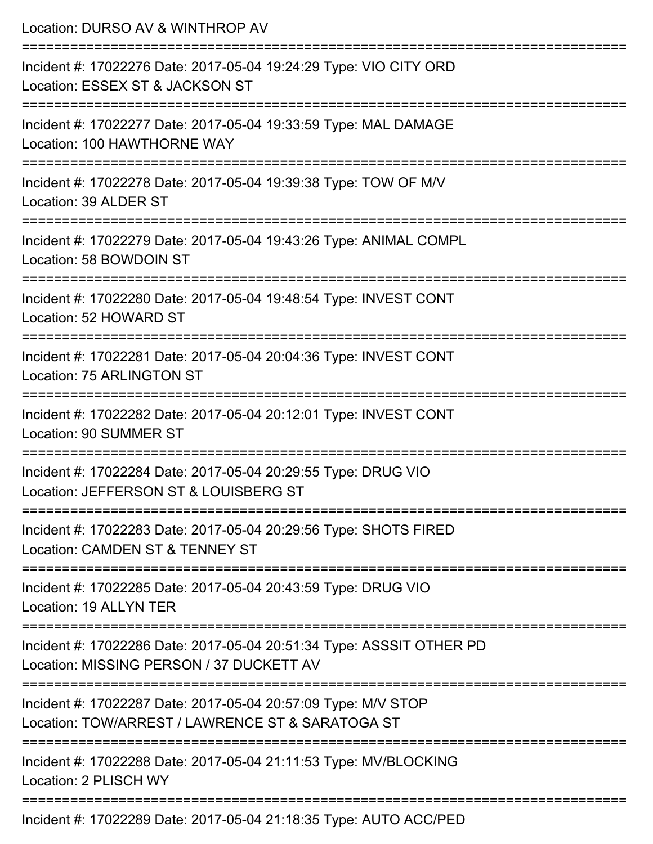| Location: DURSO AV & WINTHROP AV                                                                                                             |
|----------------------------------------------------------------------------------------------------------------------------------------------|
| Incident #: 17022276 Date: 2017-05-04 19:24:29 Type: VIO CITY ORD<br>Location: ESSEX ST & JACKSON ST<br>==================================== |
| Incident #: 17022277 Date: 2017-05-04 19:33:59 Type: MAL DAMAGE<br>Location: 100 HAWTHORNE WAY                                               |
| Incident #: 17022278 Date: 2017-05-04 19:39:38 Type: TOW OF M/V<br>Location: 39 ALDER ST                                                     |
| Incident #: 17022279 Date: 2017-05-04 19:43:26 Type: ANIMAL COMPL<br>Location: 58 BOWDOIN ST                                                 |
| Incident #: 17022280 Date: 2017-05-04 19:48:54 Type: INVEST CONT<br>Location: 52 HOWARD ST                                                   |
| Incident #: 17022281 Date: 2017-05-04 20:04:36 Type: INVEST CONT<br>Location: 75 ARLINGTON ST                                                |
| Incident #: 17022282 Date: 2017-05-04 20:12:01 Type: INVEST CONT<br>Location: 90 SUMMER ST                                                   |
| Incident #: 17022284 Date: 2017-05-04 20:29:55 Type: DRUG VIO<br>Location: JEFFERSON ST & LOUISBERG ST                                       |
| Incident #: 17022283 Date: 2017-05-04 20:29:56 Type: SHOTS FIRED<br>Location: CAMDEN ST & TENNEY ST                                          |
| Incident #: 17022285 Date: 2017-05-04 20:43:59 Type: DRUG VIO<br>Location: 19 ALLYN TER                                                      |
| Incident #: 17022286 Date: 2017-05-04 20:51:34 Type: ASSSIT OTHER PD<br>Location: MISSING PERSON / 37 DUCKETT AV                             |
| Incident #: 17022287 Date: 2017-05-04 20:57:09 Type: M/V STOP<br>Location: TOW/ARREST / LAWRENCE ST & SARATOGA ST                            |
| Incident #: 17022288 Date: 2017-05-04 21:11:53 Type: MV/BLOCKING<br>Location: 2 PLISCH WY                                                    |
| Incident #: 17022289 Date: 2017-05-04 21:18:35 Type: AUTO ACC/PED                                                                            |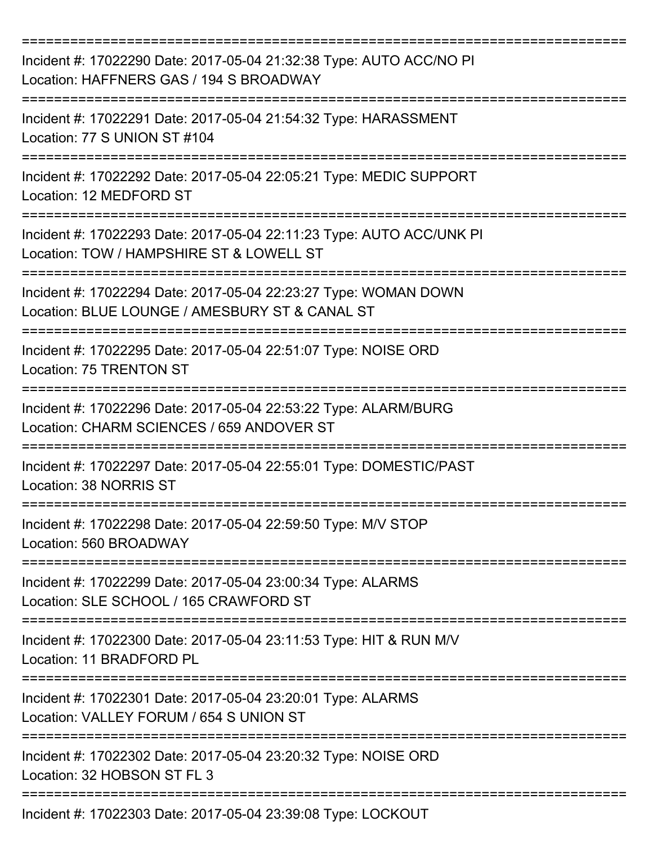| Incident #: 17022290 Date: 2017-05-04 21:32:38 Type: AUTO ACC/NO PI<br>Location: HAFFNERS GAS / 194 S BROADWAY    |
|-------------------------------------------------------------------------------------------------------------------|
| Incident #: 17022291 Date: 2017-05-04 21:54:32 Type: HARASSMENT<br>Location: 77 S UNION ST #104                   |
| Incident #: 17022292 Date: 2017-05-04 22:05:21 Type: MEDIC SUPPORT<br>Location: 12 MEDFORD ST                     |
| Incident #: 17022293 Date: 2017-05-04 22:11:23 Type: AUTO ACC/UNK PI<br>Location: TOW / HAMPSHIRE ST & LOWELL ST  |
| Incident #: 17022294 Date: 2017-05-04 22:23:27 Type: WOMAN DOWN<br>Location: BLUE LOUNGE / AMESBURY ST & CANAL ST |
| Incident #: 17022295 Date: 2017-05-04 22:51:07 Type: NOISE ORD<br><b>Location: 75 TRENTON ST</b>                  |
| Incident #: 17022296 Date: 2017-05-04 22:53:22 Type: ALARM/BURG<br>Location: CHARM SCIENCES / 659 ANDOVER ST      |
| Incident #: 17022297 Date: 2017-05-04 22:55:01 Type: DOMESTIC/PAST<br>Location: 38 NORRIS ST                      |
| Incident #: 17022298 Date: 2017-05-04 22:59:50 Type: M/V STOP<br>Location: 560 BROADWAY                           |
| Incident #: 17022299 Date: 2017-05-04 23:00:34 Type: ALARMS<br>Location: SLE SCHOOL / 165 CRAWFORD ST             |
| Incident #: 17022300 Date: 2017-05-04 23:11:53 Type: HIT & RUN M/V<br>Location: 11 BRADFORD PL                    |
| Incident #: 17022301 Date: 2017-05-04 23:20:01 Type: ALARMS<br>Location: VALLEY FORUM / 654 S UNION ST            |
| Incident #: 17022302 Date: 2017-05-04 23:20:32 Type: NOISE ORD<br>Location: 32 HOBSON ST FL 3                     |
| Incident #: 17022303 Date: 2017-05-04 23:39:08 Type: LOCKOUT                                                      |